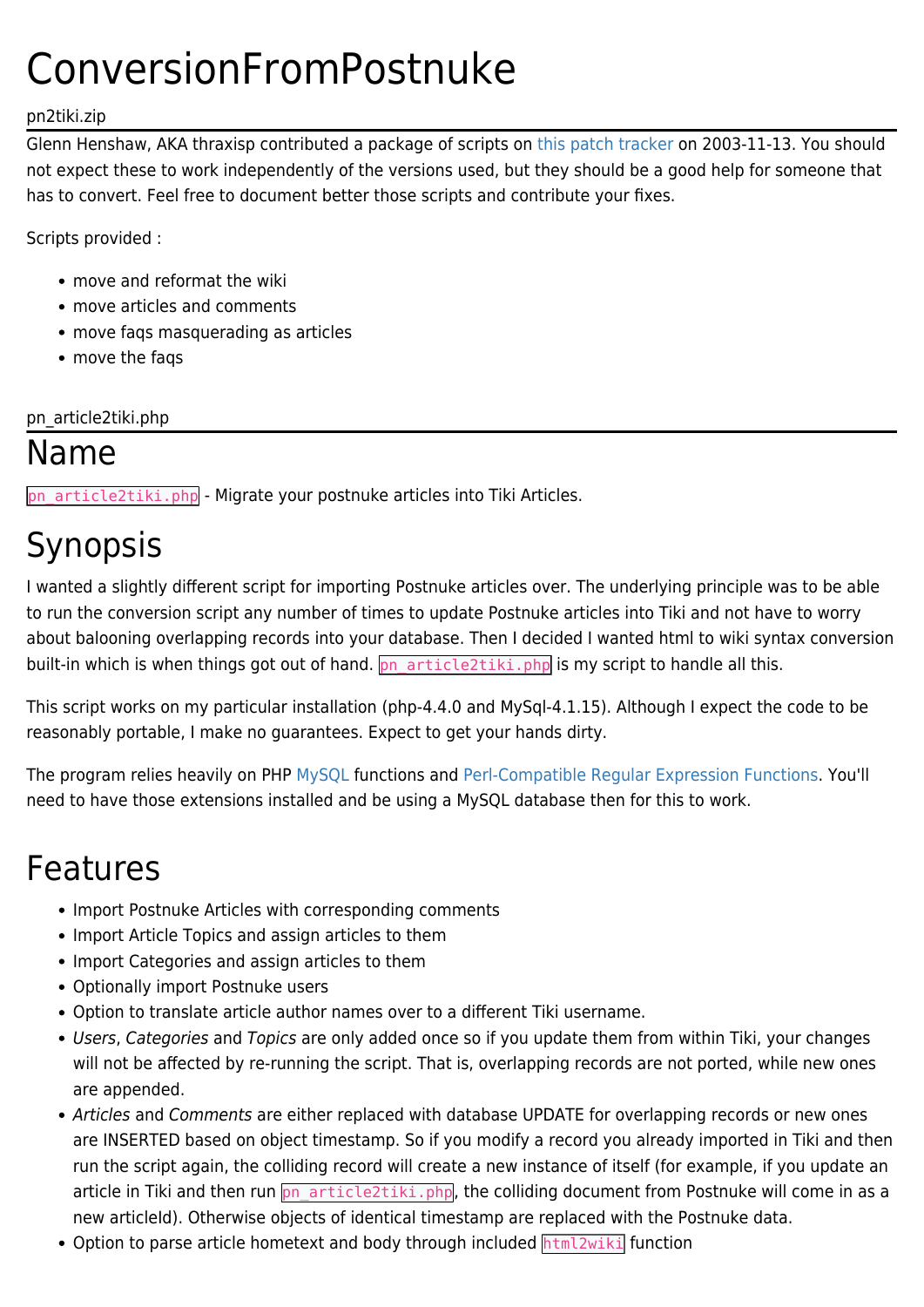# ConversionFromPostnuke

#### pn2tiki.zip

Glenn Henshaw, AKA thraxisp contributed a package of scripts on [this patch tracker](http://sourceforge.net/tracker/index.php?func=detail&aid=841494&group_id=64258&atid=506848) on 2003-11-13. You should not expect these to work independently of the versions used, but they should be a good help for someone that has to convert. Feel free to document better those scripts and contribute your fixes.

Scripts provided :

- move and reformat the wiki
- move articles and comments
- move faqs masquerading as articles
- move the faqs

pn\_article2tiki.php

#### Name

pn\_article2tiki.php - Migrate your postnuke articles into Tiki Articles.

# Synopsis

I wanted a slightly different script for importing Postnuke articles over. The underlying principle was to be able to run the conversion script any number of times to update Postnuke articles into Tiki and not have to worry about balooning overlapping records into your database. Then I decided I wanted html to wiki syntax conversion built-in which is when things got out of hand. **pn\_article2tiki.php** is my script to handle all this.

This script works on my particular installation (php-4.4.0 and MySql-4.1.15). Although I expect the code to be reasonably portable, I make no guarantees. Expect to get your hands dirty.

The program relies heavily on PHP [MySQL](http://www.php.net/manual/en/ref.mysql.php) functions and [Perl-Compatible Regular Expression Functions](http://www.php.net/manual/en/ref.pcre.php). You'll need to have those extensions installed and be using a MySQL database then for this to work.

#### Features

- Import Postnuke Articles with corresponding comments
- Import Article Topics and assign articles to them
- Import Categories and assign articles to them
- Optionally import Postnuke users
- Option to translate article author names over to a different Tiki username.
- Users, Categories and Topics are only added once so if you update them from within Tiki, your changes will not be affected by re-running the script. That is, overlapping records are not ported, while new ones are appended.
- Articles and Comments are either replaced with database UPDATE for overlapping records or new ones are INSERTED based on object timestamp. So if you modify a record you already imported in Tiki and then run the script again, the colliding record will create a new instance of itself (for example, if you update an article in Tiki and then run pn\_article2tiki.php, the colliding document from Postnuke will come in as a new articleId). Otherwise objects of identical timestamp are replaced with the Postnuke data.
- Option to parse article hometext and body through included html2wiki function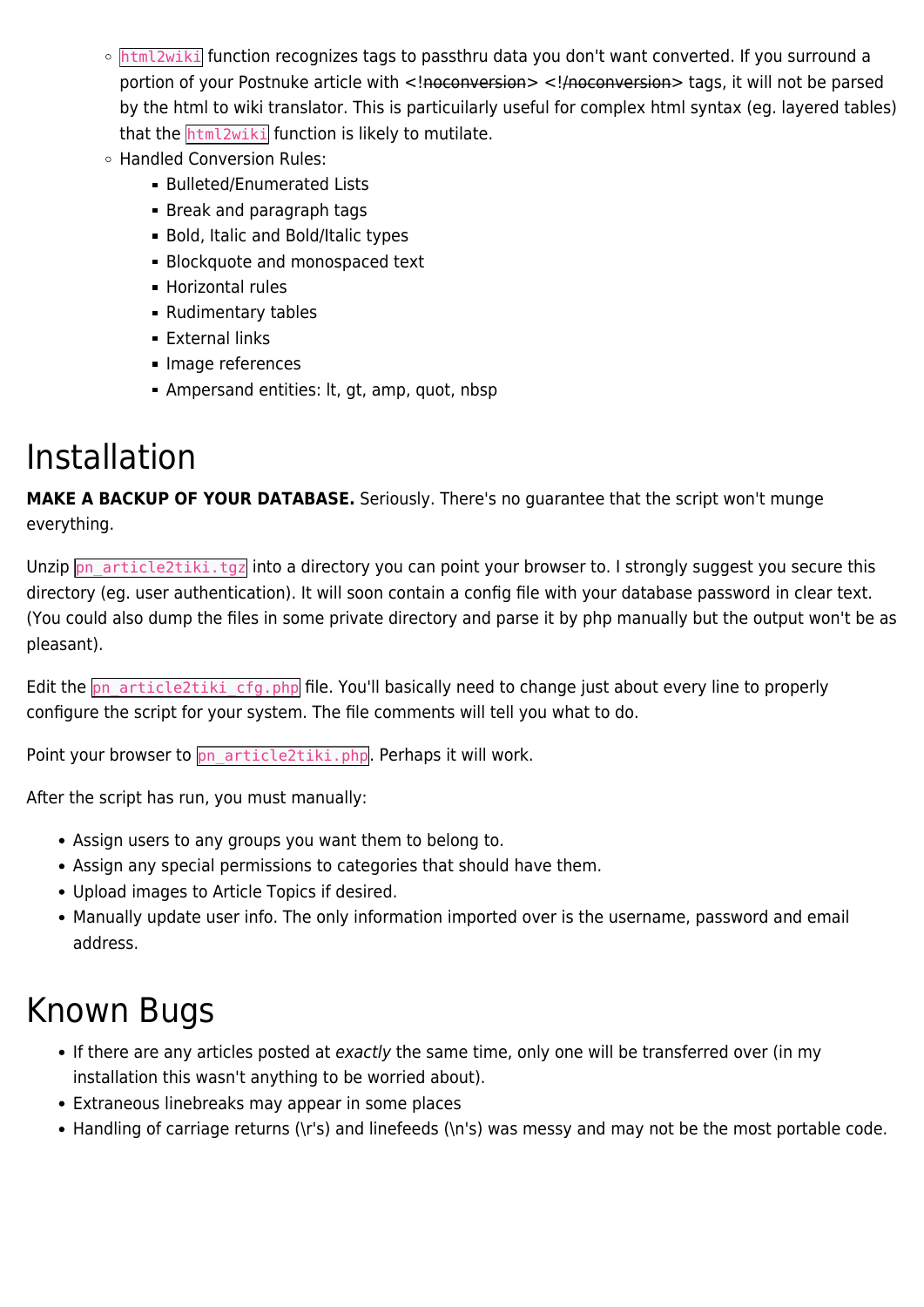- o html2wiki function recognizes tags to passthru data you don't want converted. If you surround a portion of your Postnuke article with <!noconversion> <!/noconversion> tags, it will not be parsed by the html to wiki translator. This is particuilarly useful for complex html syntax (eg. layered tables) that the **html2wiki** function is likely to mutilate.
- Handled Conversion Rules:
	- **Bulleted/Enumerated Lists**
	- Break and paragraph tags
	- **Bold, Italic and Bold/Italic types**
	- **Blockquote and monospaced text**
	- Horizontal rules
	- **Rudimentary tables**
	- **External links**
	- **Image references**
	- Ampersand entities: lt, gt, amp, quot, nbsp

#### Installation

**MAKE A BACKUP OF YOUR DATABASE.** Seriously. There's no guarantee that the script won't munge everything.

Unzip pn\_article2tiki.tgz into a directory you can point your browser to. I strongly suggest you secure this directory (eg. user authentication). It will soon contain a config file with your database password in clear text. (You could also dump the files in some private directory and parse it by php manually but the output won't be as pleasant).

Edit the pn\_article2tiki\_cfg.php file. You'll basically need to change just about every line to properly configure the script for your system. The file comments will tell you what to do.

Point your browser to pn\_article2tiki.php. Perhaps it will work.

After the script has run, you must manually:

- Assign users to any groups you want them to belong to.
- Assign any special permissions to categories that should have them.
- Upload images to Article Topics if desired.
- Manually update user info. The only information imported over is the username, password and email address.

#### Known Bugs

- If there are any articles posted at exactly the same time, only one will be transferred over (in my installation this wasn't anything to be worried about).
- Extraneous linebreaks may appear in some places
- Handling of carriage returns (\r's) and linefeeds (\n's) was messy and may not be the most portable code.